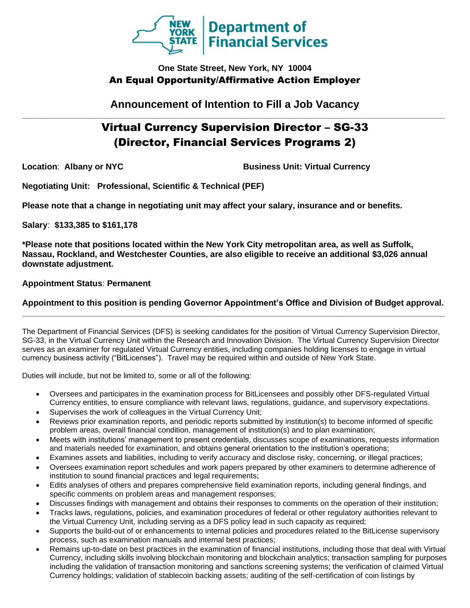

# **One State Street, New York, NY 10004** An Equal Opportunity/Affirmative Action Employer

**Announcement of Intention to Fill a Job Vacancy \_\_\_\_\_\_\_\_\_\_\_\_\_\_\_\_\_\_\_\_\_\_\_\_\_\_\_\_\_\_\_\_\_\_\_\_\_\_\_\_\_\_\_\_\_\_\_\_\_\_\_\_\_\_\_\_\_\_\_\_\_\_\_\_\_\_\_\_\_\_\_\_\_\_\_\_\_\_\_\_\_\_\_\_\_\_\_\_\_\_\_\_\_\_\_\_\_\_\_**

# Virtual Currency Supervision Director – SG-33 (Director, Financial Services Programs 2)

**Location**: **Albany or NYC Business Unit: Virtual Currency** 

**Negotiating Unit: Professional, Scientific & Technical (PEF)**

**Please note that a change in negotiating unit may affect your salary, insurance and or benefits.**

**Salary**: **\$133,385 to \$161,178**

**\*Please note that positions located within the New York City metropolitan area, as well as Suffolk, Nassau, Rockland, and Westchester Counties, are also eligible to receive an additional \$3,026 annual downstate adjustment.**

**Appointment Status**: **Permanent**

# **Appointment to this position is pending Governor Appointment's Office and Division of Budget approval. \_\_\_\_\_\_\_\_\_\_\_\_\_\_\_\_\_\_\_\_\_\_\_\_\_\_\_\_\_\_\_\_\_\_\_\_\_\_\_\_\_\_\_\_\_\_\_\_\_\_\_\_\_\_\_\_\_\_\_\_\_\_\_\_\_\_\_\_\_\_\_\_\_\_\_\_\_\_\_\_\_\_\_\_\_\_\_\_\_\_**

The Department of Financial Services (DFS) is seeking candidates for the position of Virtual Currency Supervision Director, SG-33, in the Virtual Currency Unit within the Research and Innovation Division. The Virtual Currency Supervision Director serves as an examiner for regulated Virtual Currency entities, including companies holding licenses to engage in virtual currency business activity ("BitLicenses"). Travel may be required within and outside of New York State.

Duties will include, but not be limited to, some or all of the following:

- Oversees and participates in the examination process for BitLicensees and possibly other DFS-regulated Virtual Currency entities, to ensure compliance with relevant laws, regulations, guidance, and supervisory expectations.
- Supervises the work of colleagues in the Virtual Currency Unit;
- Reviews prior examination reports, and periodic reports submitted by institution(s) to become informed of specific problem areas, overall financial condition, management of institution(s) and to plan examination;
- Meets with institutions' management to present credentials, discusses scope of examinations, requests information and materials needed for examination, and obtains general orientation to the institution's operations;
- Examines assets and liabilities, including to verify accuracy and disclose risky, concerning, or illegal practices;
- Oversees examination report schedules and work papers prepared by other examiners to determine adherence of institution to sound financial practices and legal requirements;
- Edits analyses of others and prepares comprehensive field examination reports, including general findings, and specific comments on problem areas and management responses;
- Discusses findings with management and obtains their responses to comments on the operation of their institution;
- Tracks laws, regulations, policies, and examination procedures of federal or other regulatory authorities relevant to the Virtual Currency Unit, including serving as a DFS policy lead in such capacity as required;
- Supports the build-out of or enhancements to internal policies and procedures related to the BitLicense supervisory process, such as examination manuals and internal best practices;
- Remains up-to-date on best practices in the examination of financial institutions, including those that deal with Virtual Currency, including skills involving blockchain monitoring and blockchain analytics; transaction sampling for purposes including the validation of transaction monitoring and sanctions screening systems; the verification of claimed Virtual Currency holdings; validation of stablecoin backing assets; auditing of the self-certification of coin listings by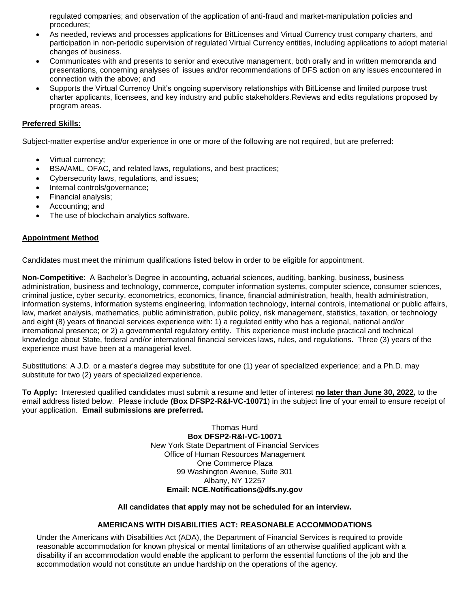regulated companies; and observation of the application of anti-fraud and market-manipulation policies and procedures;

- As needed, reviews and processes applications for BitLicenses and Virtual Currency trust company charters, and participation in non-periodic supervision of regulated Virtual Currency entities, including applications to adopt material changes of business.
- Communicates with and presents to senior and executive management, both orally and in written memoranda and presentations, concerning analyses of issues and/or recommendations of DFS action on any issues encountered in connection with the above; and
- Supports the Virtual Currency Unit's ongoing supervisory relationships with BitLicense and limited purpose trust charter applicants, licensees, and key industry and public stakeholders.Reviews and edits regulations proposed by program areas.

## **Preferred Skills:**

Subject-matter expertise and/or experience in one or more of the following are not required, but are preferred:

- Virtual currency;
- BSA/AML, OFAC, and related laws, regulations, and best practices;
- Cybersecurity laws, regulations, and issues;
- Internal controls/governance;
- Financial analysis;
- Accounting; and
- The use of blockchain analytics software.

#### **Appointment Method**

Candidates must meet the minimum qualifications listed below in order to be eligible for appointment.

**Non-Competitive**: A Bachelor's Degree in accounting, actuarial sciences, auditing, banking, business, business administration, business and technology, commerce, computer information systems, computer science, consumer sciences, criminal justice, cyber security, econometrics, economics, finance, financial administration, health, health administration, information systems, information systems engineering, information technology, internal controls, international or public affairs, law, market analysis, mathematics, public administration, public policy, risk management, statistics, taxation, or technology and eight (8) years of financial services experience with: 1) a regulated entity who has a regional, national and/or international presence; or 2) a governmental regulatory entity. This experience must include practical and technical knowledge about State, federal and/or international financial services laws, rules, and regulations. Three (3) years of the experience must have been at a managerial level.

Substitutions: A J.D. or a master's degree may substitute for one (1) year of specialized experience; and a Ph.D. may substitute for two (2) years of specialized experience.

**To Apply:** Interested qualified candidates must submit a resume and letter of interest **no later than June 30, 2022,** to the email address listed below. Please include **(Box DFSP2-R&I-VC-10071**) in the subject line of your email to ensure receipt of your application. **Email submissions are preferred.**

> Thomas Hurd **Box DFSP2-R&I-VC-10071** New York State Department of Financial Services Office of Human Resources Management One Commerce Plaza 99 Washington Avenue, Suite 301 Albany, NY 12257 **Email: NCE.Notifications@dfs.ny.gov**

#### **All candidates that apply may not be scheduled for an interview.**

### **AMERICANS WITH DISABILITIES ACT: REASONABLE ACCOMMODATIONS**

Under the Americans with Disabilities Act (ADA), the Department of Financial Services is required to provide reasonable accommodation for known physical or mental limitations of an otherwise qualified applicant with a disability if an accommodation would enable the applicant to perform the essential functions of the job and the accommodation would not constitute an undue hardship on the operations of the agency.